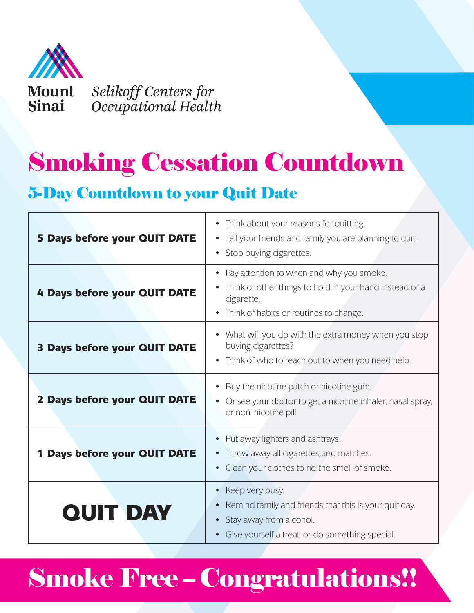

# Smoking Cessation Countdown

### 5-Day Countdown to your Quit Date

| 5 Days before your QUIT DATE        | Think about your reasons for quitting.<br>$\bullet$<br>• Tell your friends and family you are planning to quit.<br>• Stop buying cigarettes.                                                       |
|-------------------------------------|----------------------------------------------------------------------------------------------------------------------------------------------------------------------------------------------------|
| 4 Days before your QUIT DATE        | Pay attention to when and why you smoke.<br>$\bullet$<br>Think of other things to hold in your hand instead of a<br>$\bullet$<br>cigarette.<br>Think of habits or routines to change.<br>$\bullet$ |
| <b>3 Days before your QUIT DATE</b> | What will you do with the extra money when you stop<br>buying cigarettes?<br>Think of who to reach out to when you need help.                                                                      |
| 2 Days before your QUIT DATE        | Buy the nicotine patch or nicotine gum.<br>Or see your doctor to get a nicotine inhaler, nasal spray,<br>or non-nicotine pill.                                                                     |
| Days before your QUIT DATE          | Put away lighters and ashtrays.<br>Throw away all cigarettes and matches.<br>Clean your clothes to rid the smell of smoke.                                                                         |
| <b>QUIT DAY</b>                     | Keep very busy.<br>$\bullet$<br>Remind family and friends that this is your quit day.<br>Stay away from alcohol.<br>Give yourself a treat, or do something special.                                |

## Smoke Free – Congratulations!!